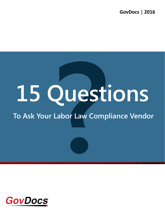**GovDocs | 2016**

# **PUEST 15 Questions**

## **To Ask Your Labor Law Compliance Vendor**



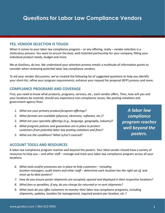### **YES, VENDOR SELECTION IS TOUGH**

When it comes to your labor law compliance program – or any offering, really – vendor selection is a meticulous process. You want to ensure the best, well-matched partnership for your company, fitting your individual product needs, budget and more.

We at GovDocs, do too. We understand your selection process entails a multitude of information points to consider when reviewing potential labor law compliance vendors.

To aid your vendor discussions, we've created the following list of suggested questions to help you identify your short-list, refine your program requirements, enhance your request for proposal (RFP) process and more.

### **COMPLIANCE PROGRAMS AND COVERAGE**

First, you need to know what products, programs, services, etc., each vendor offers. Then, how will you and your locations be covered, should you experience non-compliance issues, like posting violations and government agency fines.

- *1. What are your primary product/program offerings?*
- *2. What formats are available (physical, electronic, software, etc.)?*
- *3. What are your specialty offerings (e.g., language, geography, industry)?*
- *4. What program policies and guarantees are in place to protect customers from potential labor law posting violations and fines?*
- *5. What are the conditions? What is/isn't covered?*

*A labor law compliance program reaches well beyond the posters.*

### **ACCOUNT TOOLS AND RESOURCES**

A labor law compliance program reaches well beyond the posters. Your ideal vendor should have a variety of resources to help you – and other staff – manage and track your labor law compliance program across all your locations.

- *6. What tools and/or processes are in place to help customers including location managers, audit teams and other staff – determine each location has the right set of, and most up-to-date posters?*
- *7. How do you ensure poster shipments are accepted, opened and displayed in their respective locations?*
- *8. What fees or penalties, if any, do you charge for returned or re-sent shipments?*
- *9. What tools do you offer customers to monitor their labor law compliance programs, including shipments, updates, location list management, required posters per location, etc.?*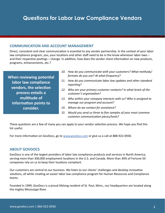### **COMMUNICATION AND ACCOUNT MANAGEMENT**

Direct, consistent and clear communication is essential to any vendor partnership. In the context of your labor law compliance program, you, your locations and other staff need to be in the know whenever labor laws – and their respective postings – change. In addition, how does the vendor share information on new products, programs, enhancements, etc.?

**When reviewing potential labor law compliance vendors, the selection process entails a multitude of information points to consider.**

- *10. How do you communicate with your customers? What methods/ formats do you use? At what frequency?*
- *11. How do you communicate labor law updates and other standard reporting?*
- *12. Who are your primary customer contacts? In what levels of the customer's organization?*
- *13. Who within your company interacts with us? Who is assigned to manage our program and account?*
- *14. Whom do we contact for assistance?*
- *15. Would you send us three to five samples of your most common customer communication pieces/tools?*

These questions are a few of many you can apply to your vendor selection process. We hope you find this list useful.

For more information on GovDocs, go to www.govdocs.com or give us a call at 888-922-0930.

### **ABOUT GOVDOCS**

GovDocs is one of the largest providers of labor law compliance products and services in North America, serving more than 300,000 employment locations in the U.S. and Canada. More than 30% of Fortune 50 companies rely on us to keep their locations compliant.

Our customers are central to our business. We listen to our clients' challenges and develop innovative solutions, all while creating an easier labor law compliance program for Human Resources and Compliance teams.

Founded in 1999, GovDocs is a proud lifelong resident of St. Paul, Minn.; our headquarters are located along the mighty Mississippi River.